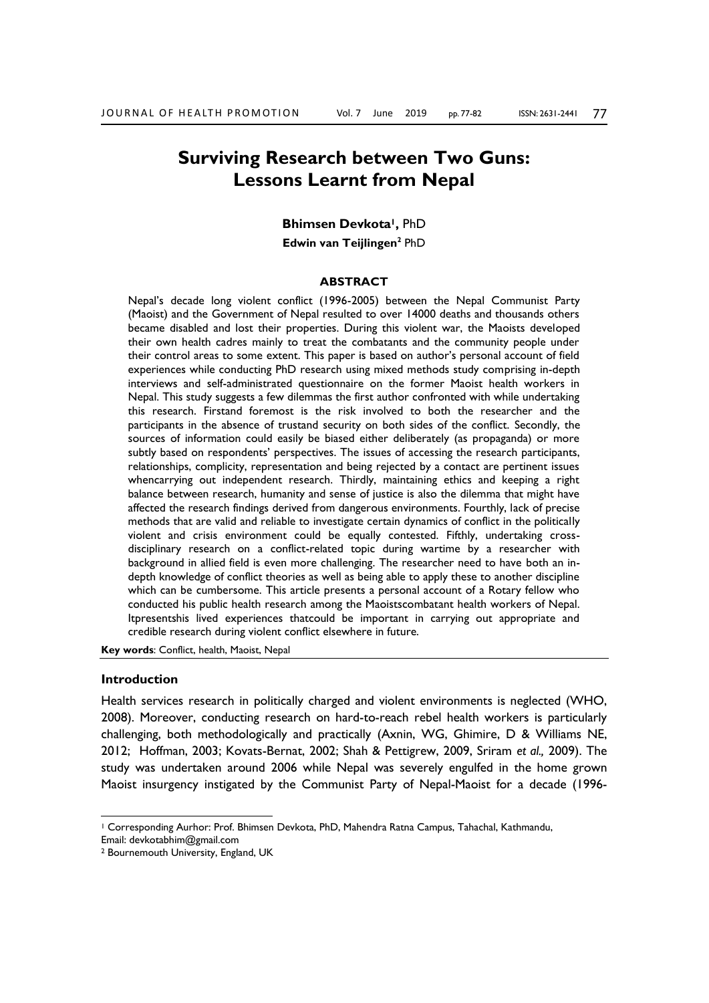# **Surviving Research between Two Guns: Lessons Learnt from Nepal**

**Bhimsen Devkota<sup>1</sup>, PhD** 

Edwin van Teijlingen<sup>2</sup> PhD

#### **ABSTRACT**

Nepal's decade long violent conflict (1996-2005) between the Nepal Communist Party (Maoist) and the Government of Nepal resulted to over 14000 deaths and thousands others became disabled and lost their properties. During this violent war, the Maoists developed their own health cadres mainly to treat the combatants and the community people under their control areas to some extent. This paper is based on author's personal account of field experiences while conducting PhD research using mixed methods study comprising in-depth interviews and self-administrated questionnaire on the former Maoist health workers in Nepal. This study suggests a few dilemmas the first author confronted with while undertaking this research. Firstand foremost is the risk involved to both the researcher and the participants in the absence of trustand security on both sides of the conflict. Secondly, the sources of information could easily be biased either deliberately (as propaganda) or more subtly based on respondents' perspectives. The issues of accessing the research participants, relationships, complicity, representation and being rejected by a contact are pertinent issues whencarrying out independent research. Thirdly, maintaining ethics and keeping a right balance between research, humanity and sense of justice is also the dilemma that might have affected the research findings derived from dangerous environments. Fourthly, lack of precise methods that are valid and reliable to investigate certain dynamics of conflict in the politically violent and crisis environment could be equally contested. Fifthly, undertaking crossdisciplinary research on a conflict-related topic during wartime by a researcher with background in allied field is even more challenging. The researcher need to have both an indepth knowledge of conflict theories as well as being able to apply these to another discipline which can be cumbersome. This article presents a personal account of a Rotary fellow who conducted his public health research among the Maoistscombatant health workers of Nepal. Itpresentshis lived experiences thatcould be important in carrying out appropriate and credible research during violent conflict elsewhere in future.

**Key words**: Conflict, health, Maoist, Nepal

#### **Introduction**

 $\overline{\phantom{a}}$ 

Health services research in politically charged and violent environments is neglected (WHO, 2008). Moreover, conducting research on hard-to-reach rebel health workers is particularly challenging, both methodologically and practically (Axnin, WG, Ghimire, D & Williams NE, 2012; Hoffman, 2003; Kovats-Bernat, 2002; Shah & Pettigrew, 2009, Sriram *et al.,* 2009). The study was undertaken around 2006 while Nepal was severely engulfed in the home grown Maoist insurgency instigated by the Communist Party of Nepal-Maoist for a decade (1996-

Email: devkotabhim@gmail.com

<sup>1</sup> Corresponding Aurhor: Prof. Bhimsen Devkota, PhD, Mahendra Ratna Campus, Tahachal, Kathmandu,

<sup>2</sup> Bournemouth University, England, UK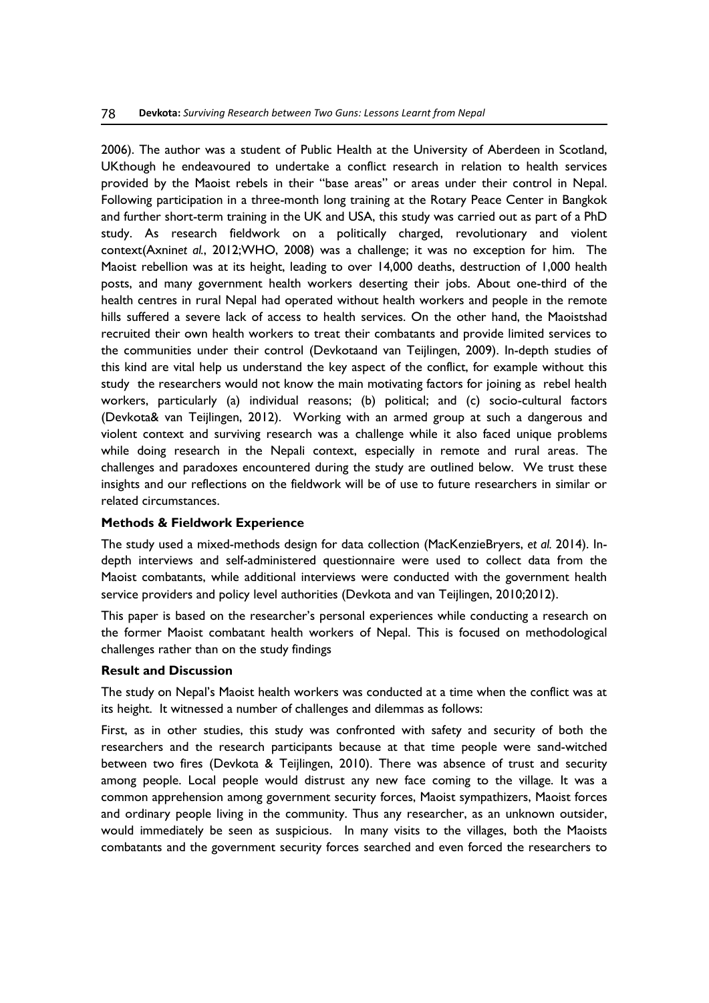2006). The author was a student of Public Health at the University of Aberdeen in Scotland, UKthough he endeavoured to undertake a conflict research in relation to health services provided by the Maoist rebels in their "base areas" or areas under their control in Nepal. Following participation in a three-month long training at the Rotary Peace Center in Bangkok and further short-term training in the UK and USA, this study was carried out as part of a PhD study. As research fieldwork on a politically charged, revolutionary and violent context(Axnin*et al.*, 2012;WHO, 2008) was a challenge; it was no exception for him. The Maoist rebellion was at its height, leading to over 14,000 deaths, destruction of 1,000 health posts, and many government health workers deserting their jobs. About one-third of the health centres in rural Nepal had operated without health workers and people in the remote hills suffered a severe lack of access to health services. On the other hand, the Maoistshad recruited their own health workers to treat their combatants and provide limited services to the communities under their control (Devkotaand van Teijlingen, 2009). In-depth studies of this kind are vital help us understand the key aspect of the conflict, for example without this study the researchers would not know the main motivating factors for joining as rebel health workers, particularly (a) individual reasons; (b) political; and (c) socio-cultural factors (Devkota& van Teijlingen, 2012). Working with an armed group at such a dangerous and violent context and surviving research was a challenge while it also faced unique problems while doing research in the Nepali context, especially in remote and rural areas. The challenges and paradoxes encountered during the study are outlined below. We trust these insights and our reflections on the fieldwork will be of use to future researchers in similar or related circumstances.

# **Methods & Fieldwork Experience**

The study used a mixed-methods design for data collection (MacKenzieBryers, *et al.* 2014). Indepth interviews and self-administered questionnaire were used to collect data from the Maoist combatants, while additional interviews were conducted with the government health service providers and policy level authorities (Devkota and van Teijlingen, 2010;2012).

This paper is based on the researcher's personal experiences while conducting a research on the former Maoist combatant health workers of Nepal. This is focused on methodological challenges rather than on the study findings

# **Result and Discussion**

The study on Nepal's Maoist health workers was conducted at a time when the conflict was at its height. It witnessed a number of challenges and dilemmas as follows:

First, as in other studies, this study was confronted with safety and security of both the researchers and the research participants because at that time people were sand-witched between two fires (Devkota & Teijlingen, 2010). There was absence of trust and security among people. Local people would distrust any new face coming to the village. It was a common apprehension among government security forces, Maoist sympathizers, Maoist forces and ordinary people living in the community. Thus any researcher, as an unknown outsider, would immediately be seen as suspicious. In many visits to the villages, both the Maoists combatants and the government security forces searched and even forced the researchers to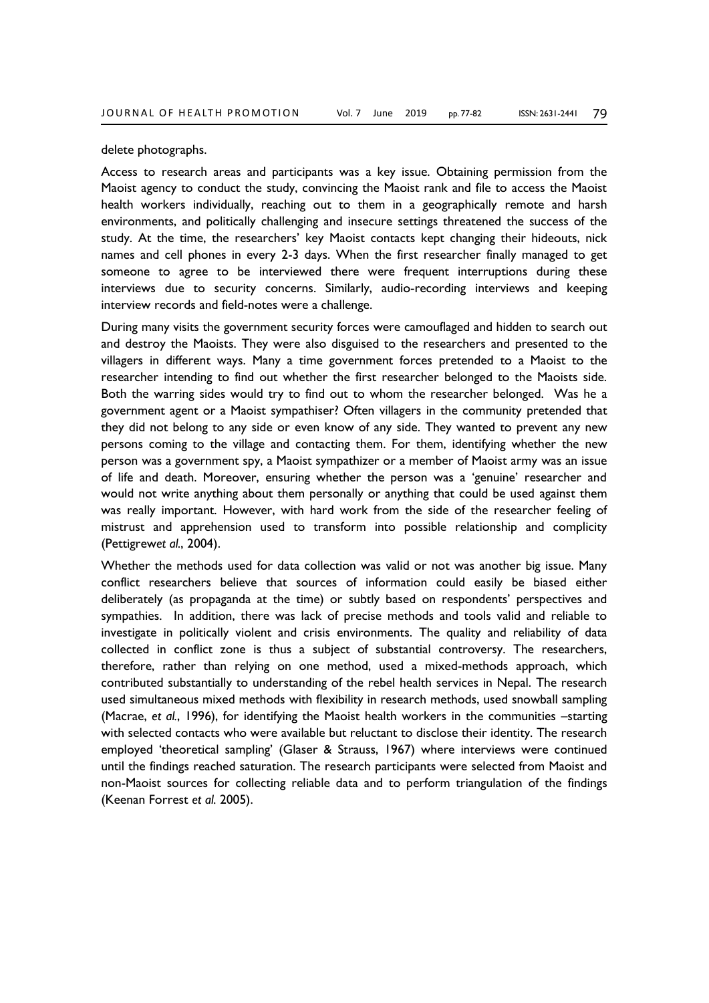delete photographs.

Access to research areas and participants was a key issue. Obtaining permission from the Maoist agency to conduct the study, convincing the Maoist rank and file to access the Maoist health workers individually, reaching out to them in a geographically remote and harsh environments, and politically challenging and insecure settings threatened the success of the study. At the time, the researchers' key Maoist contacts kept changing their hideouts, nick names and cell phones in every 2-3 days. When the first researcher finally managed to get someone to agree to be interviewed there were frequent interruptions during these interviews due to security concerns. Similarly, audio-recording interviews and keeping interview records and field-notes were a challenge.

During many visits the government security forces were camouflaged and hidden to search out and destroy the Maoists. They were also disguised to the researchers and presented to the villagers in different ways. Many a time government forces pretended to a Maoist to the researcher intending to find out whether the first researcher belonged to the Maoists side. Both the warring sides would try to find out to whom the researcher belonged. Was he a government agent or a Maoist sympathiser? Often villagers in the community pretended that they did not belong to any side or even know of any side. They wanted to prevent any new persons coming to the village and contacting them. For them, identifying whether the new person was a government spy, a Maoist sympathizer or a member of Maoist army was an issue of life and death. Moreover, ensuring whether the person was a 'genuine' researcher and would not write anything about them personally or anything that could be used against them was really important. However, with hard work from the side of the researcher feeling of mistrust and apprehension used to transform into possible relationship and complicity (Pettigrew*et al.*, 2004).

Whether the methods used for data collection was valid or not was another big issue. Many conflict researchers believe that sources of information could easily be biased either deliberately (as propaganda at the time) or subtly based on respondents' perspectives and sympathies. In addition, there was lack of precise methods and tools valid and reliable to investigate in politically violent and crisis environments. The quality and reliability of data collected in conflict zone is thus a subject of substantial controversy. The researchers, therefore, rather than relying on one method, used a mixed-methods approach, which contributed substantially to understanding of the rebel health services in Nepal. The research used simultaneous mixed methods with flexibility in research methods, used snowball sampling (Macrae, *et al.*, 1996), for identifying the Maoist health workers in the communities –starting with selected contacts who were available but reluctant to disclose their identity. The research employed 'theoretical sampling' (Glaser & Strauss, 1967) where interviews were continued until the findings reached saturation. The research participants were selected from Maoist and non-Maoist sources for collecting reliable data and to perform triangulation of the findings (Keenan Forrest *et al.* 2005).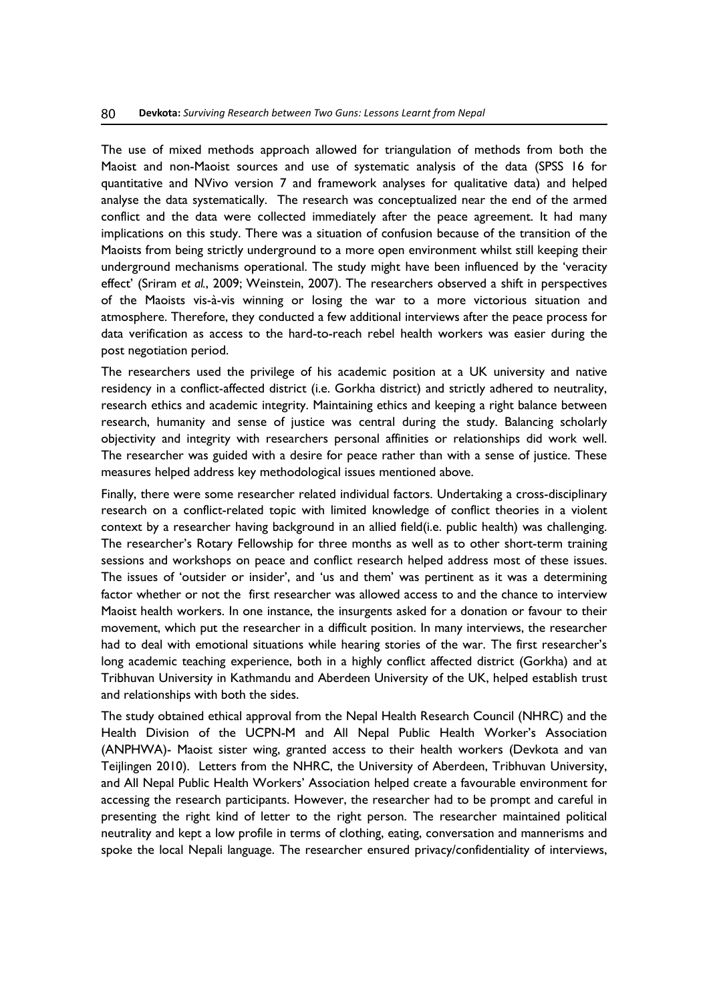The use of mixed methods approach allowed for triangulation of methods from both the Maoist and non-Maoist sources and use of systematic analysis of the data (SPSS 16 for quantitative and NVivo version 7 and framework analyses for qualitative data) and helped analyse the data systematically. The research was conceptualized near the end of the armed conflict and the data were collected immediately after the peace agreement. It had many implications on this study. There was a situation of confusion because of the transition of the Maoists from being strictly underground to a more open environment whilst still keeping their underground mechanisms operational. The study might have been influenced by the 'veracity effect' (Sriram *et al.*, 2009; Weinstein, 2007). The researchers observed a shift in perspectives of the Maoists vis-à-vis winning or losing the war to a more victorious situation and atmosphere. Therefore, they conducted a few additional interviews after the peace process for data verification as access to the hard-to-reach rebel health workers was easier during the post negotiation period.

The researchers used the privilege of his academic position at a UK university and native residency in a conflict-affected district (i.e. Gorkha district) and strictly adhered to neutrality, research ethics and academic integrity. Maintaining ethics and keeping a right balance between research, humanity and sense of justice was central during the study. Balancing scholarly objectivity and integrity with researchers personal affinities or relationships did work well. The researcher was guided with a desire for peace rather than with a sense of justice. These measures helped address key methodological issues mentioned above.

Finally, there were some researcher related individual factors. Undertaking a cross-disciplinary research on a conflict-related topic with limited knowledge of conflict theories in a violent context by a researcher having background in an allied field(i.e. public health) was challenging. The researcher's Rotary Fellowship for three months as well as to other short-term training sessions and workshops on peace and conflict research helped address most of these issues. The issues of 'outsider or insider', and 'us and them' was pertinent as it was a determining factor whether or not the first researcher was allowed access to and the chance to interview Maoist health workers. In one instance, the insurgents asked for a donation or favour to their movement, which put the researcher in a difficult position. In many interviews, the researcher had to deal with emotional situations while hearing stories of the war. The first researcher's long academic teaching experience, both in a highly conflict affected district (Gorkha) and at Tribhuvan University in Kathmandu and Aberdeen University of the UK, helped establish trust and relationships with both the sides.

The study obtained ethical approval from the Nepal Health Research Council (NHRC) and the Health Division of the UCPN-M and All Nepal Public Health Worker's Association (ANPHWA)- Maoist sister wing, granted access to their health workers (Devkota and van Teijlingen 2010). Letters from the NHRC, the University of Aberdeen, Tribhuvan University, and All Nepal Public Health Workers' Association helped create a favourable environment for accessing the research participants. However, the researcher had to be prompt and careful in presenting the right kind of letter to the right person. The researcher maintained political neutrality and kept a low profile in terms of clothing, eating, conversation and mannerisms and spoke the local Nepali language. The researcher ensured privacy/confidentiality of interviews,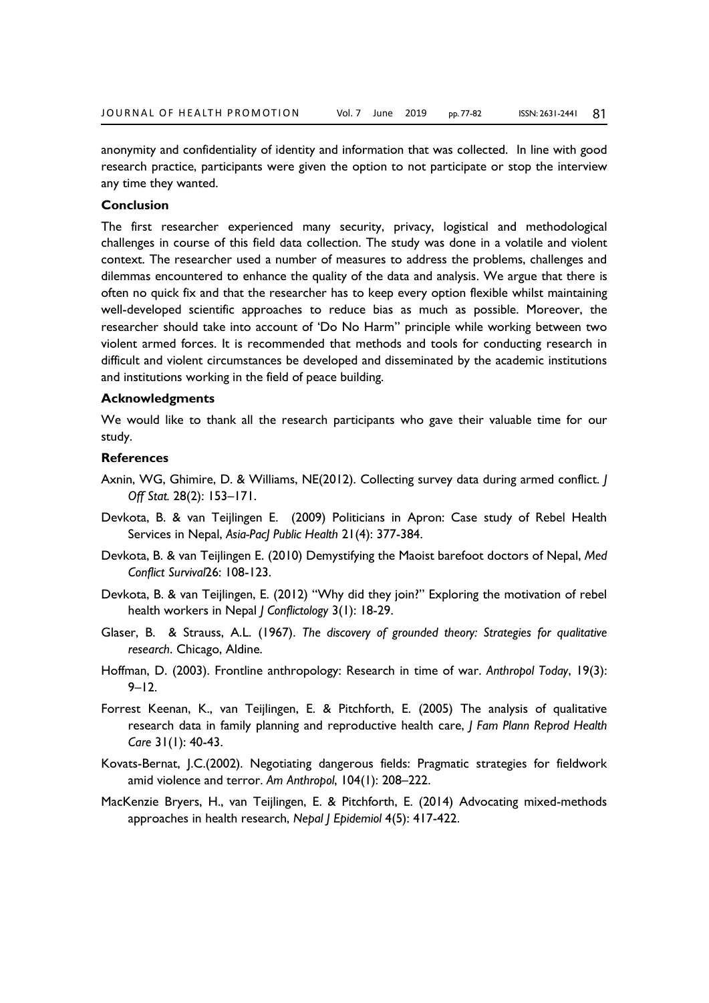anonymity and confidentiality of identity and information that was collected. In line with good research practice, participants were given the option to not participate or stop the interview any time they wanted.

## **Conclusion**

The first researcher experienced many security, privacy, logistical and methodological challenges in course of this field data collection. The study was done in a volatile and violent context. The researcher used a number of measures to address the problems, challenges and dilemmas encountered to enhance the quality of the data and analysis. We argue that there is often no quick fix and that the researcher has to keep every option flexible whilst maintaining well-developed scientific approaches to reduce bias as much as possible. Moreover, the researcher should take into account of 'Do No Harm" principle while working between two violent armed forces. It is recommended that methods and tools for conducting research in difficult and violent circumstances be developed and disseminated by the academic institutions and institutions working in the field of peace building.

### **Acknowledgments**

We would like to thank all the research participants who gave their valuable time for our study.

### **References**

- Axnin, WG, Ghimire, D. & Williams, NE(2012). Collecting survey data during armed conflict. *J Off Stat.* 28(2): 153–171.
- Devkota, B. & van Teijlingen E. (2009) Politicians in Apron: Case study of Rebel Health Services in Nepal, *Asia-PacJ Public Health* 21(4): 377-384.
- Devkota, B. & van Teijlingen E. (2010) Demystifying the Maoist barefoot doctors of Nepal, *Med Conflict Survival*26: 108-123.
- Devkota, B. & van Teijlingen, E. (2012) "Why did they join?" Exploring the motivation of rebel health workers in Nepal *J Conflictology* 3(1): 18-29.
- Glaser, B. & Strauss, A.L. (1967). *The discovery of grounded theory: Strategies for qualitative research*. Chicago, Aldine.
- Hoffman, D. (2003). Frontline anthropology: Research in time of war. *Anthropol Today*, 19(3):  $9 - 12$
- Forrest Keenan, K., van Teijlingen, E. & Pitchforth, E. (2005) The analysis of qualitative research data in family planning and reproductive health care, *J Fam Plann Reprod Health Care* 31(1): 40-43.
- Kovats-Bernat, J.C.(2002). Negotiating dangerous fields: Pragmatic strategies for fieldwork amid violence and terror. *Am Anthropol*, 104(1): 208–222.
- MacKenzie Bryers, H., van Teijlingen, E. & Pitchforth, E. (2014) Advocating mixed-methods approaches in health research, *Nepal J Epidemiol* 4(5): 417-422.